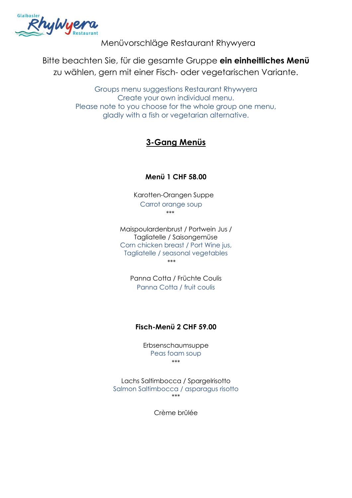

Menüvorschläge Restaurant Rhywyera

Bitte beachten Sie, für die gesamte Gruppe **ein einheitliches Menü**  zu wählen, gern mit einer Fisch- oder vegetarischen Variante.

> Groups menu suggestions Restaurant Rhywyera Create your own individual menu. Please note to you choose for the whole group one menu, gladly with a fish or vegetarian alternative.

# **3-Gang Menüs**

### **Menü 1 CHF 58.00**

Karotten-Orangen Suppe Carrot orange soup \*\*\*

Maispoulardenbrust / Portwein Jus / Tagliatelle / Saisongemüse Corn chicken breast / Port Wine jus, Tagliatelle / seasonal vegetables \*\*\*

Panna Cotta / Früchte Coulis Panna Cotta / fruit coulis

### **Fisch-Menü 2 CHF 59.00**

Erbsenschaumsuppe Peas foam soup \*\*\*

Lachs Saltimbocca / Spargelrisotto Salmon Saltimbocca / asparagus risotto \*\*\*

Crème brûlée